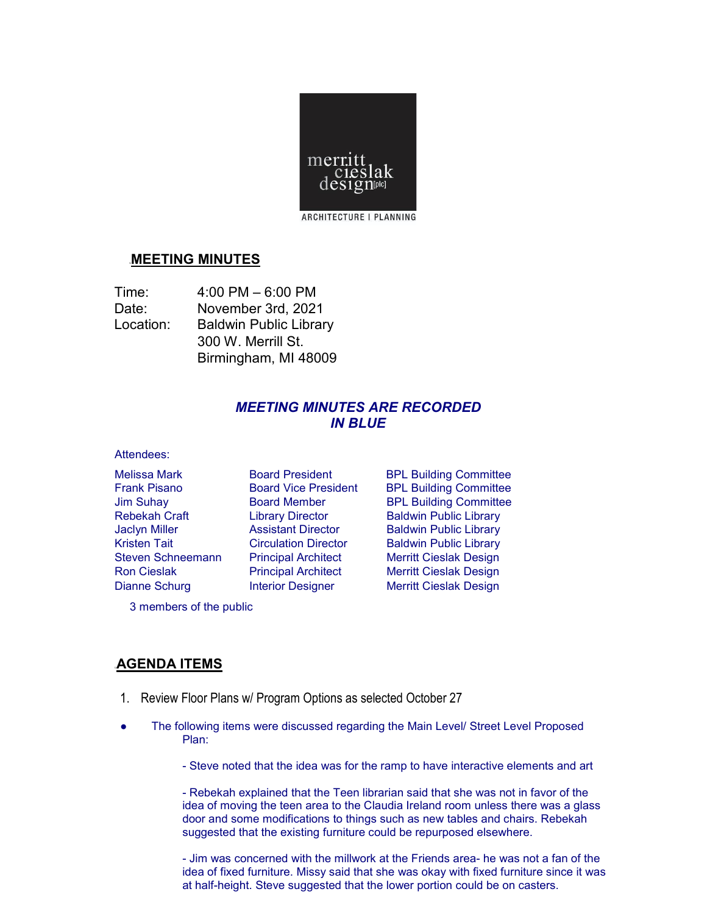

# <sup>U</sup>**MEETING MINUTES**

| Time:     | $4:00$ PM $-6:00$ PM          |
|-----------|-------------------------------|
| Date:     | November 3rd, 2021            |
| Location: | <b>Baldwin Public Library</b> |
|           | 300 W. Merrill St.            |
|           | Birmingham, MI 48009          |

# *MEETING MINUTES ARE RECORDED IN BLUE*

#### Attendees:

Melissa Mark **Board President** BPL Building Committee Frank Pisano **Board Vice President** BPL Building Committee Jim Suhay Board Member BPL Building Committee Rebekah Craft **Library Director** Baldwin Public Library Jaclyn Miller Assistant Director Baldwin Public Library Kristen Tait **Circulation Director** Baldwin Public Library Steven Schneemann Principal Architect Merritt Cieslak Design Ron Cieslak **Principal Architect** Merritt Cieslak Design Dianne Schurg **Interior Designer** Merritt Cieslak Design

3 members of the public

### <sup>U</sup>**AGENDA ITEMS**

- 1. Review Floor Plans w/ Program Options as selected October 27
- The following items were discussed regarding the Main Level/ Street Level Proposed Plan:
	- Steve noted that the idea was for the ramp to have interactive elements and art

- Rebekah explained that the Teen librarian said that she was not in favor of the idea of moving the teen area to the Claudia Ireland room unless there was a glass door and some modifications to things such as new tables and chairs. Rebekah suggested that the existing furniture could be repurposed elsewhere.

- Jim was concerned with the millwork at the Friends area- he was not a fan of the idea of fixed furniture. Missy said that she was okay with fixed furniture since it was at half-height. Steve suggested that the lower portion could be on casters.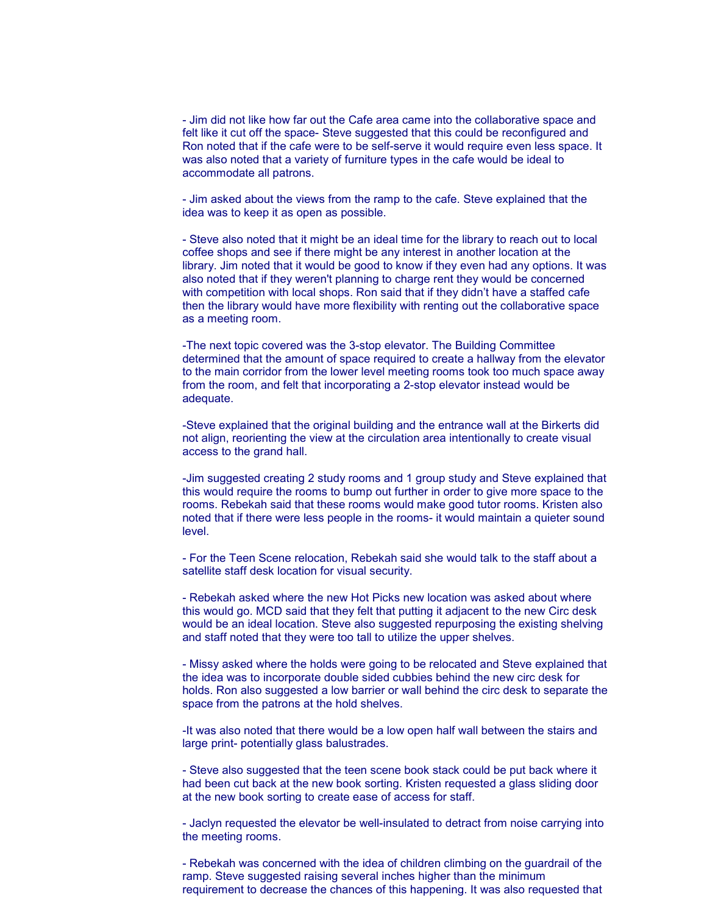- Jim did not like how far out the Cafe area came into the collaborative space and felt like it cut off the space- Steve suggested that this could be reconfigured and Ron noted that if the cafe were to be self-serve it would require even less space. It was also noted that a variety of furniture types in the cafe would be ideal to accommodate all patrons.

- Jim asked about the views from the ramp to the cafe. Steve explained that the idea was to keep it as open as possible.

- Steve also noted that it might be an ideal time for the library to reach out to local coffee shops and see if there might be any interest in another location at the library. Jim noted that it would be good to know if they even had any options. It was also noted that if they weren't planning to charge rent they would be concerned with competition with local shops. Ron said that if they didn't have a staffed cafe then the library would have more flexibility with renting out the collaborative space as a meeting room.

-The next topic covered was the 3-stop elevator. The Building Committee determined that the amount of space required to create a hallway from the elevator to the main corridor from the lower level meeting rooms took too much space away from the room, and felt that incorporating a 2-stop elevator instead would be adequate.

-Steve explained that the original building and the entrance wall at the Birkerts did not align, reorienting the view at the circulation area intentionally to create visual access to the grand hall.

-Jim suggested creating 2 study rooms and 1 group study and Steve explained that this would require the rooms to bump out further in order to give more space to the rooms. Rebekah said that these rooms would make good tutor rooms. Kristen also noted that if there were less people in the rooms- it would maintain a quieter sound level.

- For the Teen Scene relocation, Rebekah said she would talk to the staff about a satellite staff desk location for visual security.

- Rebekah asked where the new Hot Picks new location was asked about where this would go. MCD said that they felt that putting it adjacent to the new Circ desk would be an ideal location. Steve also suggested repurposing the existing shelving and staff noted that they were too tall to utilize the upper shelves.

- Missy asked where the holds were going to be relocated and Steve explained that the idea was to incorporate double sided cubbies behind the new circ desk for holds. Ron also suggested a low barrier or wall behind the circ desk to separate the space from the patrons at the hold shelves.

-It was also noted that there would be a low open half wall between the stairs and large print- potentially glass balustrades.

- Steve also suggested that the teen scene book stack could be put back where it had been cut back at the new book sorting. Kristen requested a glass sliding door at the new book sorting to create ease of access for staff.

- Jaclyn requested the elevator be well-insulated to detract from noise carrying into the meeting rooms.

- Rebekah was concerned with the idea of children climbing on the guardrail of the ramp. Steve suggested raising several inches higher than the minimum requirement to decrease the chances of this happening. It was also requested that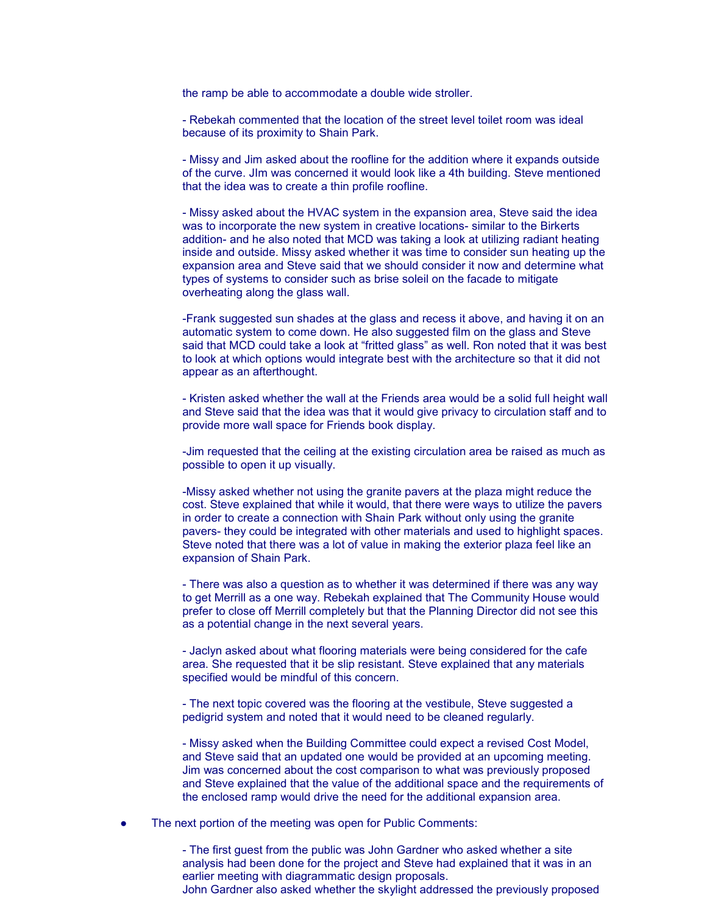the ramp be able to accommodate a double wide stroller.

- Rebekah commented that the location of the street level toilet room was ideal because of its proximity to Shain Park.

- Missy and Jim asked about the roofline for the addition where it expands outside of the curve. JIm was concerned it would look like a 4th building. Steve mentioned that the idea was to create a thin profile roofline.

- Missy asked about the HVAC system in the expansion area, Steve said the idea was to incorporate the new system in creative locations- similar to the Birkerts addition- and he also noted that MCD was taking a look at utilizing radiant heating inside and outside. Missy asked whether it was time to consider sun heating up the expansion area and Steve said that we should consider it now and determine what types of systems to consider such as brise soleil on the facade to mitigate overheating along the glass wall.

-Frank suggested sun shades at the glass and recess it above, and having it on an automatic system to come down. He also suggested film on the glass and Steve said that MCD could take a look at "fritted glass" as well. Ron noted that it was best to look at which options would integrate best with the architecture so that it did not appear as an afterthought.

- Kristen asked whether the wall at the Friends area would be a solid full height wall and Steve said that the idea was that it would give privacy to circulation staff and to provide more wall space for Friends book display.

-Jim requested that the ceiling at the existing circulation area be raised as much as possible to open it up visually.

-Missy asked whether not using the granite pavers at the plaza might reduce the cost. Steve explained that while it would, that there were ways to utilize the pavers in order to create a connection with Shain Park without only using the granite pavers- they could be integrated with other materials and used to highlight spaces. Steve noted that there was a lot of value in making the exterior plaza feel like an expansion of Shain Park.

- There was also a question as to whether it was determined if there was any way to get Merrill as a one way. Rebekah explained that The Community House would prefer to close off Merrill completely but that the Planning Director did not see this as a potential change in the next several years.

- Jaclyn asked about what flooring materials were being considered for the cafe area. She requested that it be slip resistant. Steve explained that any materials specified would be mindful of this concern.

- The next topic covered was the flooring at the vestibule, Steve suggested a pedigrid system and noted that it would need to be cleaned regularly.

- Missy asked when the Building Committee could expect a revised Cost Model, and Steve said that an updated one would be provided at an upcoming meeting. Jim was concerned about the cost comparison to what was previously proposed and Steve explained that the value of the additional space and the requirements of the enclosed ramp would drive the need for the additional expansion area.

The next portion of the meeting was open for Public Comments:

- The first guest from the public was John Gardner who asked whether a site analysis had been done for the project and Steve had explained that it was in an earlier meeting with diagrammatic design proposals. John Gardner also asked whether the skylight addressed the previously proposed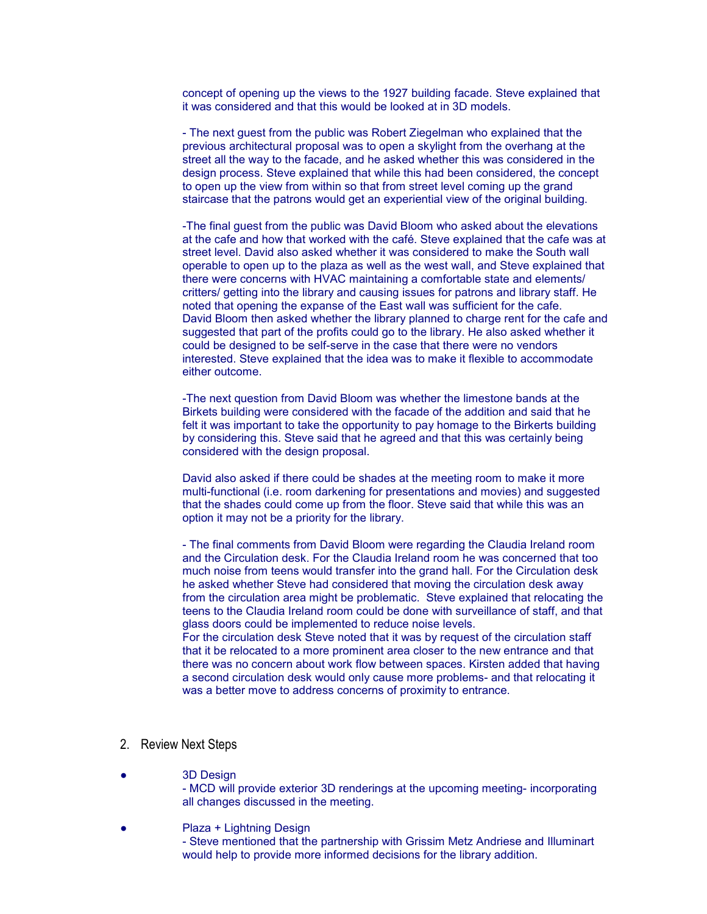concept of opening up the views to the 1927 building facade. Steve explained that it was considered and that this would be looked at in 3D models.

- The next guest from the public was Robert Ziegelman who explained that the previous architectural proposal was to open a skylight from the overhang at the street all the way to the facade, and he asked whether this was considered in the design process. Steve explained that while this had been considered, the concept to open up the view from within so that from street level coming up the grand staircase that the patrons would get an experiential view of the original building.

-The final guest from the public was David Bloom who asked about the elevations at the cafe and how that worked with the café. Steve explained that the cafe was at street level. David also asked whether it was considered to make the South wall operable to open up to the plaza as well as the west wall, and Steve explained that there were concerns with HVAC maintaining a comfortable state and elements/ critters/ getting into the library and causing issues for patrons and library staff. He noted that opening the expanse of the East wall was sufficient for the cafe. David Bloom then asked whether the library planned to charge rent for the cafe and suggested that part of the profits could go to the library. He also asked whether it could be designed to be self-serve in the case that there were no vendors interested. Steve explained that the idea was to make it flexible to accommodate either outcome.

-The next question from David Bloom was whether the limestone bands at the Birkets building were considered with the facade of the addition and said that he felt it was important to take the opportunity to pay homage to the Birkerts building by considering this. Steve said that he agreed and that this was certainly being considered with the design proposal.

David also asked if there could be shades at the meeting room to make it more multi-functional (i.e. room darkening for presentations and movies) and suggested that the shades could come up from the floor. Steve said that while this was an option it may not be a priority for the library.

- The final comments from David Bloom were regarding the Claudia Ireland room and the Circulation desk. For the Claudia Ireland room he was concerned that too much noise from teens would transfer into the grand hall. For the Circulation desk he asked whether Steve had considered that moving the circulation desk away from the circulation area might be problematic. Steve explained that relocating the teens to the Claudia Ireland room could be done with surveillance of staff, and that glass doors could be implemented to reduce noise levels.

For the circulation desk Steve noted that it was by request of the circulation staff that it be relocated to a more prominent area closer to the new entrance and that there was no concern about work flow between spaces. Kirsten added that having a second circulation desk would only cause more problems- and that relocating it was a better move to address concerns of proximity to entrance.

### 2. Review Next Steps

**3D Design** 

- MCD will provide exterior 3D renderings at the upcoming meeting- incorporating all changes discussed in the meeting.

Plaza + Lightning Design

- Steve mentioned that the partnership with Grissim Metz Andriese and Illuminart would help to provide more informed decisions for the library addition.